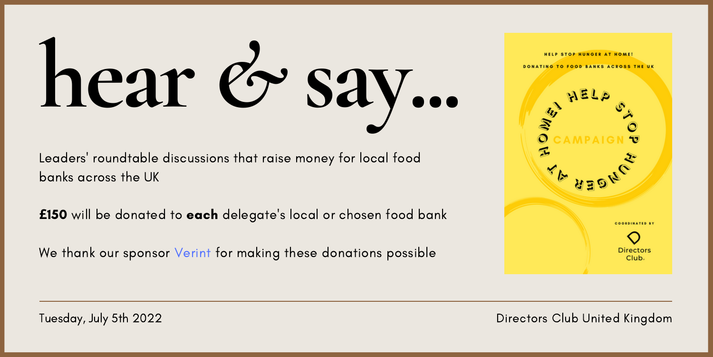

Leaders' roundtable discussions that raise money for local food banks across the UK

**£**150 will be donated to each delegate's local or chosen food bank

We thank our sponsor [Verint](https://www.verint.com/) for making these donations possible



Tuesday, July 5th 2022 Directors Club United Kingdom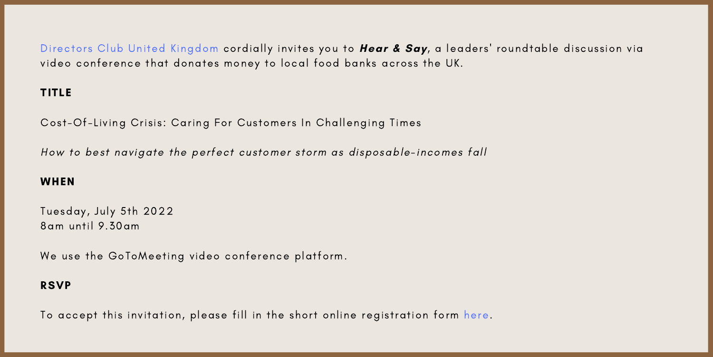Directors Club United [Kingdom](https://directorsclub.world/) cordially invites you to Hear & Say, a leaders' roundtable discussion via video conference that donates money to local food banks across the UK.

# TITLE

Cost-Of-Living Crisis: Caring For Customers In Challenging Times

How to best navigate the perfect customer storm as disposable-incomes fall

# WHEN

Tuesday, July 5th 2022 8am until 9.30am

We use the GoToMeeting video conference platform.

### RSVP

To accept this invitation, please fill in the short online registration form [here.](https://form.jotform.com/221575062184959)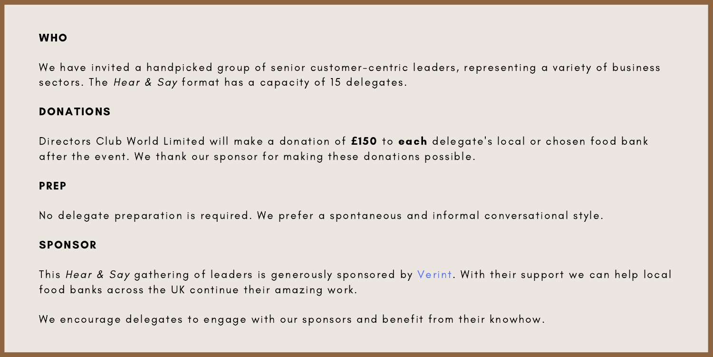## **WHO**

We have invited a handpicked group of senior customer-centric leaders, representing a variety of business sectors. The Hear & Say format has a capacity of 15 delegates.

#### DONATIONS

Director s Club World Limited will make a donation of **£**150 to each delegate' s local or chosen food bank after the event. We thank our sponsor for making these donations possible.

#### PREP

No delegate preparation is required. We prefer a spontaneous and informal conversational style.

#### **SPONSOR**

This Hear & Say gathering of leaders is generously sponsored by [Verint](https://www.verint.com/). With their support we can help local food banks across the UK continue their amazing work.

We encourage delegates to engage with our sponsors and benefit from their knowhow.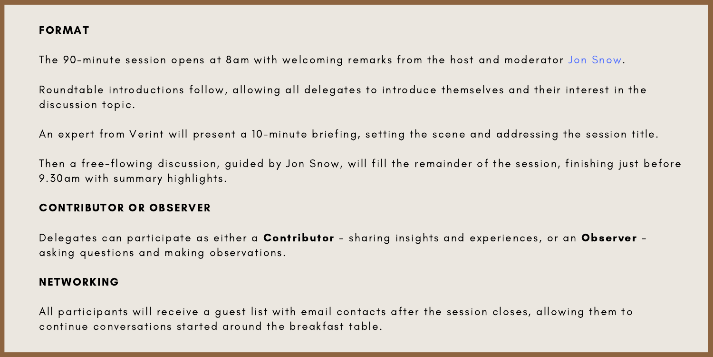## FORMAT

The 90-minute session opens at 8am with welcoming remarks from the host and moderator Jon [Snow.](https://www.linkedin.com/in/jonsnowuk/)

Roundtable introductions follow, allowing all delegates to introduce themselves and their interest in the discussion topic.

An expert from Verint will present a 10-minute briefing, setting the scene and addressing the session title.

Then a free-flowing discussion, guided by Jon Snow, will fill the remainder of the session, finishing just before 9.30am with summary highlights.

## CONTRIBUTOR OR OBSERVER

Delegates can participate as either a Contributor - sharing insights and experiences, or an Observer asking questions and making observations.

#### NETWORKING

All participants will receive a quest list with email contacts after the session closes, allowing them to continue conversations started around the breakfast table.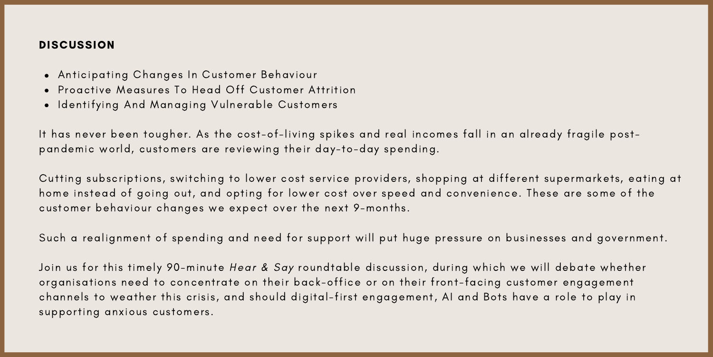#### **DISCUSSION**

- Anticipating Changes In Customer Behaviour
- Proactive Measures To Head Off Customer Attrition
- Identifying And Managing Vulnerable Customers

It has never been tougher. As the cost-of-living spikes and real incomes fall in an already fragile postpandemic world, customers are reviewing their day-to-day spending.

Cutting subscriptions, switching to lower cost service providers, shopping at different supermarkets, eating at home instead of going out, and opting for lower cost over speed and convenience. These are some of the cus tomer behaviour changes we expect over the next 9-months .

Such a realignment of spending and need for support will put huge pressure on businesses and government.

Join us for this timely 90-minute Hear & Say roundtable discussion, during which we will debate whether organisations need to concentrate on their back-office or on their front-facing customer engagement channels to weather this crisis, and should digital-first engagement, AI and Bots have a role to play in supporting anxious customers.